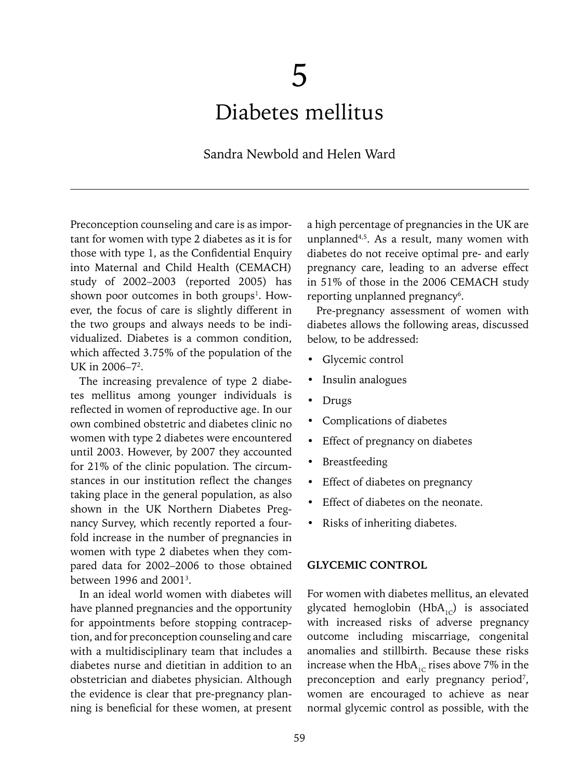# 5 Diabetes mellitus

# Sandra Newbold and Helen Ward

Preconception counseling and care is as important for women with type 2 diabetes as it is for those with type 1, as the Confidential Enquiry into Maternal and Child Health (CEMACH) study of 2002–2003 (reported 2005) has shown poor outcomes in both groups<sup>1</sup>. However, the focus of care is slightly different in the two groups and always needs to be individualized. Diabetes is a common condition, which affected 3.75% of the population of the UK in 2006–7<sup>2</sup>.

The increasing prevalence of type 2 diabetes mellitus among younger individuals is reflected in women of reproductive age. In our own combined obstetric and diabetes clinic no women with type 2 diabetes were encountered until 2003. However, by 2007 they accounted for 21% of the clinic population. The circumstances in our institution reflect the changes taking place in the general population, as also shown in the UK Northern Diabetes Pregnancy Survey, which recently reported a fourfold increase in the number of pregnancies in women with type 2 diabetes when they compared data for 2002–2006 to those obtained between 1996 and 2001<sup>3</sup>.

In an ideal world women with diabetes will have planned pregnancies and the opportunity for appointments before stopping contraception, and for preconception counseling and care with a multidisciplinary team that includes a diabetes nurse and dietitian in addition to an obstetrician and diabetes physician. Although the evidence is clear that pre-pregnancy planning is beneficial for these women, at present a high percentage of pregnancies in the UK are unplanned $4,5$ . As a result, many women with diabetes do not receive optimal pre- and early pregnancy care, leading to an adverse effect in 51% of those in the 2006 CEMACH study reporting unplanned pregnancy<sup>6</sup>.

Pre-pregnancy assessment of women with diabetes allows the following areas, discussed below, to be addressed:

- Glycemic control
- Insulin analogues
- Drugs
- Complications of diabetes
- Effect of pregnancy on diabetes
- **Breastfeeding**
- Effect of diabetes on pregnancy
- Effect of diabetes on the neonate.
- Risks of inheriting diabetes.

#### **GLYCEMIC CONTROL**

For women with diabetes mellitus, an elevated glycated hemoglobin  $(HbA_{1c})$  is associated with increased risks of adverse pregnancy outcome including miscarriage, congenital anomalies and stillbirth. Because these risks increase when the HbA<sub>1c</sub> rises above 7% in the preconception and early pregnancy period<sup>7</sup>, women are encouraged to achieve as near normal glycemic control as possible, with the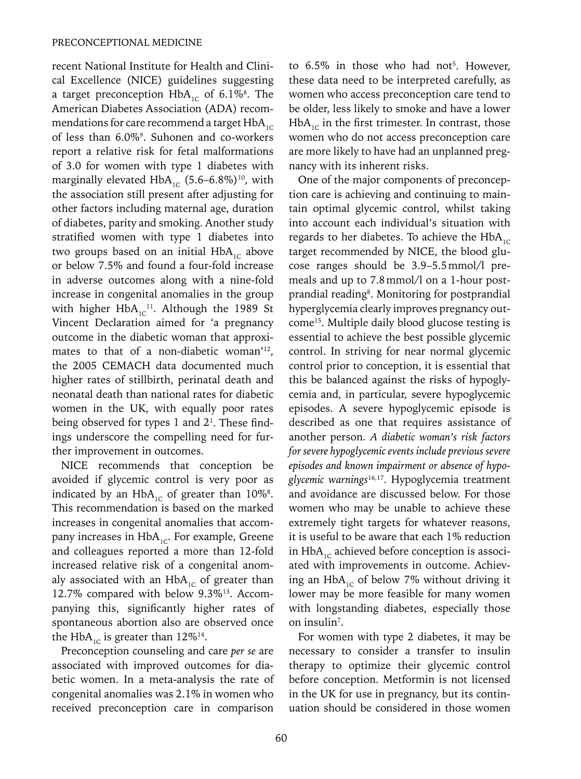recent National Institute for Health and Clinical Excellence (NICE) guidelines suggesting a target preconception  $HbA_{\text{1C}}$  of 6.1%<sup>8</sup>. The American Diabetes Association (ADA) recommendations for care recommend a target  $HbA_{1C}$ of less than 6.0%9 . Suhonen and co-workers report a relative risk for fetal malformations of 3.0 for women with type 1 diabetes with marginally elevated  $HbA_{1C}$  (5.6–6.8%)<sup>10</sup>, with the association still present after adjusting for other factors including maternal age, duration of diabetes, parity and smoking. Another study stratified women with type 1 diabetes into two groups based on an initial  $HbA_{1C}$  above or below 7.5% and found a four-fold increase in adverse outcomes along with a nine-fold increase in congenital anomalies in the group with higher  $HbA_{1C}^{11}$ . Although the 1989 St Vincent Declaration aimed for 'a pregnancy outcome in the diabetic woman that approximates to that of a non-diabetic woman'<sup>12</sup>, the 2005 CEMACH data documented much higher rates of stillbirth, perinatal death and neonatal death than national rates for diabetic women in the UK, with equally poor rates being observed for types 1 and 21 . These findings underscore the compelling need for further improvement in outcomes.

NICE recommends that conception be avoided if glycemic control is very poor as indicated by an  $HbA_{1C}$  of greater than  $10\%$ <sup>8</sup>. This recommendation is based on the marked increases in congenital anomalies that accompany increases in HbA<sub>1c</sub>. For example, Greene and colleagues reported a more than 12-fold increased relative risk of a congenital anomaly associated with an  $HbA_{1C}$  of greater than 12.7% compared with below 9.3%13. Accompanying this, significantly higher rates of spontaneous abortion also are observed once the HbA<sub>1c</sub> is greater than  $12\%^{14}$ .

Preconception counseling and care *per se* are associated with improved outcomes for diabetic women. In a meta-analysis the rate of congenital anomalies was 2.1% in women who received preconception care in comparison

to  $6.5\%$  in those who had not<sup>5</sup>. However, these data need to be interpreted carefully, as women who access preconception care tend to be older, less likely to smoke and have a lower  $HbA_{1c}$  in the first trimester. In contrast, those women who do not access preconception care are more likely to have had an unplanned pregnancy with its inherent risks.

One of the major components of preconception care is achieving and continuing to maintain optimal glycemic control, whilst taking into account each individual's situation with regards to her diabetes. To achieve the  $HbA_{1C}$ target recommended by NICE, the blood glucose ranges should be 3.9–5.5mmol/l premeals and up to 7.8mmol/l on a 1-hour postprandial reading<sup>8</sup>. Monitoring for postprandial hyperglycemia clearly improves pregnancy outcome15. Multiple daily blood glucose testing is essential to achieve the best possible glycemic control. In striving for near normal glycemic control prior to conception, it is essential that this be balanced against the risks of hypoglycemia and, in particular, severe hypoglycemic episodes. A severe hypoglycemic episode is described as one that requires assistance of another person. *A diabetic woman's risk factors for severe hypoglycemic events include previous severe episodes and known impairment or absence of hypoglycemic warnings*16,17. Hypoglycemia treatment and avoidance are discussed below. For those women who may be unable to achieve these extremely tight targets for whatever reasons, it is useful to be aware that each 1% reduction in  $HbA_{1c}$  achieved before conception is associated with improvements in outcome. Achieving an  $HbA_{1c}$  of below 7% without driving it lower may be more feasible for many women with longstanding diabetes, especially those on insulin<sup>7</sup>.

For women with type 2 diabetes, it may be necessary to consider a transfer to insulin therapy to optimize their glycemic control before conception. Metformin is not licensed in the UK for use in pregnancy, but its continuation should be considered in those women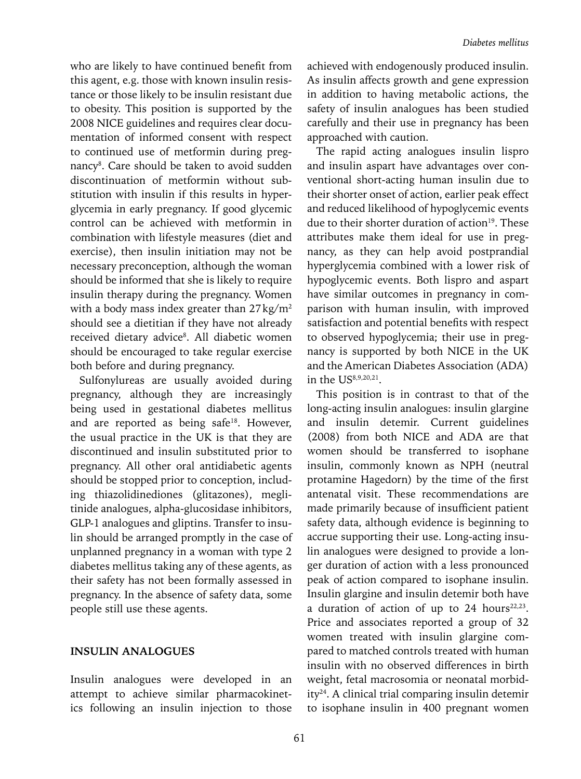who are likely to have continued benefit from this agent, e.g. those with known insulin resistance or those likely to be insulin resistant due to obesity. This position is supported by the 2008 NICE guidelines and requires clear documentation of informed consent with respect to continued use of metformin during pregnancy<sup>8</sup>. Care should be taken to avoid sudden discontinuation of metformin without substitution with insulin if this results in hyperglycemia in early pregnancy. If good glycemic control can be achieved with metformin in combination with lifestyle measures (diet and exercise), then insulin initiation may not be necessary preconception, although the woman should be informed that she is likely to require insulin therapy during the pregnancy. Women with a body mass index greater than  $27\,\mathrm{kg/m^2}$ should see a dietitian if they have not already received dietary advice<sup>8</sup>. All diabetic women should be encouraged to take regular exercise both before and during pregnancy.

Sulfonylureas are usually avoided during pregnancy, although they are increasingly being used in gestational diabetes mellitus and are reported as being safe<sup>18</sup>. However, the usual practice in the UK is that they are discontinued and insulin substituted prior to pregnancy. All other oral antidiabetic agents should be stopped prior to conception, including thiazolidinediones (glitazones), meglitinide analogues, alpha-glucosidase inhibitors, GLP-1 analogues and gliptins. Transfer to insulin should be arranged promptly in the case of unplanned pregnancy in a woman with type 2 diabetes mellitus taking any of these agents, as their safety has not been formally assessed in pregnancy. In the absence of safety data, some people still use these agents.

#### **INSULIN ANALOGUES**

Insulin analogues were developed in an attempt to achieve similar pharmacokinetics following an insulin injection to those achieved with endogenously produced insulin. As insulin affects growth and gene expression in addition to having metabolic actions, the safety of insulin analogues has been studied carefully and their use in pregnancy has been approached with caution.

The rapid acting analogues insulin lispro and insulin aspart have advantages over conventional short-acting human insulin due to their shorter onset of action, earlier peak effect and reduced likelihood of hypoglycemic events due to their shorter duration of action<sup>19</sup>. These attributes make them ideal for use in pregnancy, as they can help avoid postprandial hyperglycemia combined with a lower risk of hypoglycemic events. Both lispro and aspart have similar outcomes in pregnancy in comparison with human insulin, with improved satisfaction and potential benefits with respect to observed hypoglycemia; their use in pregnancy is supported by both NICE in the UK and the American Diabetes Association (ADA) in the US8,9,20,21.

This position is in contrast to that of the long-acting insulin analogues: insulin glargine and insulin detemir. Current guidelines (2008) from both NICE and ADA are that women should be transferred to isophane insulin, commonly known as NPH (neutral protamine Hagedorn) by the time of the first antenatal visit. These recommendations are made primarily because of insufficient patient safety data, although evidence is beginning to accrue supporting their use. Long-acting insulin analogues were designed to provide a longer duration of action with a less pronounced peak of action compared to isophane insulin. Insulin glargine and insulin detemir both have a duration of action of up to 24 hours<sup>22,23</sup>. Price and associates reported a group of 32 women treated with insulin glargine compared to matched controls treated with human insulin with no observed differences in birth weight, fetal macrosomia or neonatal morbidity<sup>24</sup>. A clinical trial comparing insulin detemir to isophane insulin in 400 pregnant women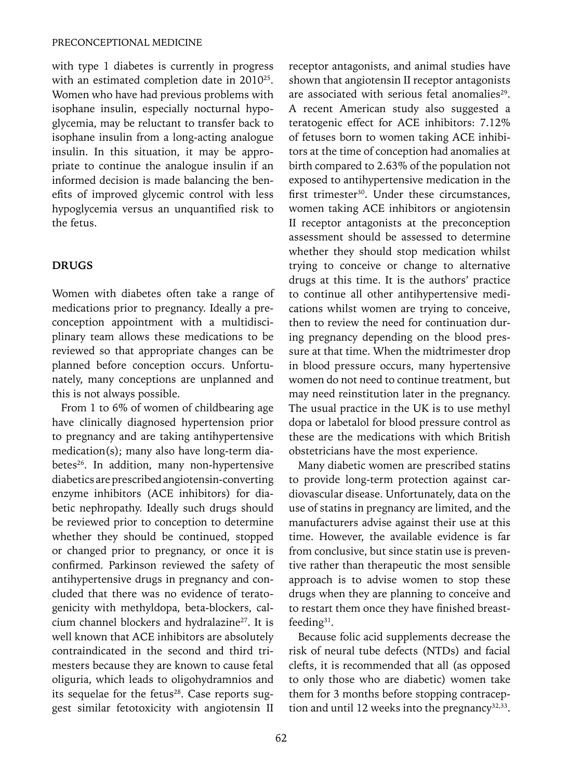#### PRECONCEPTIONAL MEDICINE

with type 1 diabetes is currently in progress with an estimated completion date in 2010<sup>25</sup>. Women who have had previous problems with isophane insulin, especially nocturnal hypoglycemia, may be reluctant to transfer back to isophane insulin from a long-acting analogue insulin. In this situation, it may be appropriate to continue the analogue insulin if an informed decision is made balancing the benefits of improved glycemic control with less hypoglycemia versus an unquantified risk to the fetus.

#### **DRUGS**

Women with diabetes often take a range of medications prior to pregnancy. Ideally a preconception appointment with a multidisciplinary team allows these medications to be reviewed so that appropriate changes can be planned before conception occurs. Unfortunately, many conceptions are unplanned and this is not always possible.

From 1 to 6% of women of childbearing age have clinically diagnosed hypertension prior to pregnancy and are taking antihypertensive medication(s); many also have long-term diabetes<sup>26</sup>. In addition, many non-hypertensive diabetics are prescribed angiotensin-converting enzyme inhibitors (ACE inhibitors) for diabetic nephropathy. Ideally such drugs should be reviewed prior to conception to determine whether they should be continued, stopped or changed prior to pregnancy, or once it is confirmed. Parkinson reviewed the safety of antihypertensive drugs in pregnancy and concluded that there was no evidence of teratogenicity with methyldopa, beta-blockers, calcium channel blockers and hydralazine<sup>27</sup>. It is well known that ACE inhibitors are absolutely contraindicated in the second and third trimesters because they are known to cause fetal oliguria, which leads to oligohydramnios and its sequelae for the fetus<sup>28</sup>. Case reports suggest similar fetotoxicity with angiotensin II receptor antagonists, and animal studies have shown that angiotensin II receptor antagonists are associated with serious fetal anomalies<sup>29</sup>. A recent American study also suggested a teratogenic effect for ACE inhibitors: 7.12% of fetuses born to women taking ACE inhibitors at the time of conception had anomalies at birth compared to 2.63% of the population not exposed to antihypertensive medication in the first trimester<sup>30</sup>. Under these circumstances, women taking ACE inhibitors or angiotensin II receptor antagonists at the preconception assessment should be assessed to determine whether they should stop medication whilst trying to conceive or change to alternative drugs at this time. It is the authors' practice to continue all other antihypertensive medications whilst women are trying to conceive, then to review the need for continuation during pregnancy depending on the blood pressure at that time. When the midtrimester drop in blood pressure occurs, many hypertensive women do not need to continue treatment, but may need reinstitution later in the pregnancy. The usual practice in the UK is to use methyl dopa or labetalol for blood pressure control as these are the medications with which British obstetricians have the most experience.

Many diabetic women are prescribed statins to provide long-term protection against cardiovascular disease. Unfortunately, data on the use of statins in pregnancy are limited, and the manufacturers advise against their use at this time. However, the available evidence is far from conclusive, but since statin use is preventive rather than therapeutic the most sensible approach is to advise women to stop these drugs when they are planning to conceive and to restart them once they have finished breastfeeding31.

Because folic acid supplements decrease the risk of neural tube defects (NTDs) and facial clefts, it is recommended that all (as opposed to only those who are diabetic) women take them for 3 months before stopping contraception and until 12 weeks into the pregnancy $32,33$ .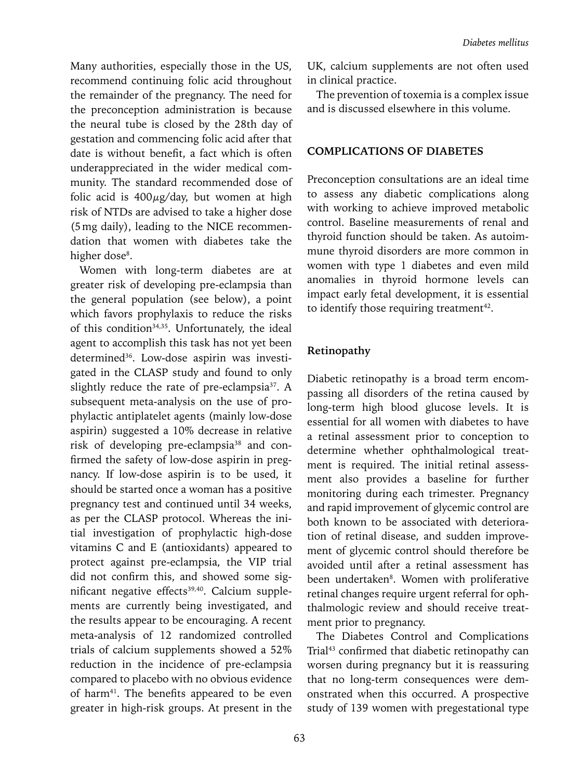Many authorities, especially those in the US, recommend continuing folic acid throughout the remainder of the pregnancy. The need for the preconception administration is because the neural tube is closed by the 28th day of gestation and commencing folic acid after that date is without benefit, a fact which is often underappreciated in the wider medical community. The standard recommended dose of folic acid is  $400\mu$ g/day, but women at high risk of NTDs are advised to take a higher dose (5mg daily), leading to the NICE recommendation that women with diabetes take the higher dose<sup>8</sup>.

Women with long-term diabetes are at greater risk of developing pre-eclampsia than the general population (see below), a point which favors prophylaxis to reduce the risks of this condition<sup>34,35</sup>. Unfortunately, the ideal agent to accomplish this task has not yet been determined<sup>36</sup>. Low-dose aspirin was investigated in the CLASP study and found to only slightly reduce the rate of pre-eclampsia<sup>37</sup>. A subsequent meta-analysis on the use of prophylactic antiplatelet agents (mainly low-dose aspirin) suggested a 10% decrease in relative risk of developing pre-eclampsia<sup>38</sup> and confirmed the safety of low-dose aspirin in pregnancy. If low-dose aspirin is to be used, it should be started once a woman has a positive pregnancy test and continued until 34 weeks, as per the CLASP protocol. Whereas the initial investigation of prophylactic high-dose vitamins C and E (antioxidants) appeared to protect against pre-eclampsia, the VIP trial did not confirm this, and showed some significant negative effects<sup>39,40</sup>. Calcium supplements are currently being investigated, and the results appear to be encouraging. A recent meta-analysis of 12 randomized controlled trials of calcium supplements showed a 52% reduction in the incidence of pre-eclampsia compared to placebo with no obvious evidence of harm<sup>41</sup>. The benefits appeared to be even greater in high-risk groups. At present in the UK, calcium supplements are not often used in clinical practice.

The prevention of toxemia is a complex issue and is discussed elsewhere in this volume.

#### **COMPLICATIONS OF DIABETES**

Preconception consultations are an ideal time to assess any diabetic complications along with working to achieve improved metabolic control. Baseline measurements of renal and thyroid function should be taken. As autoimmune thyroid disorders are more common in women with type 1 diabetes and even mild anomalies in thyroid hormone levels can impact early fetal development, it is essential to identify those requiring treatment<sup>42</sup>.

#### **Retinopathy**

Diabetic retinopathy is a broad term encompassing all disorders of the retina caused by long-term high blood glucose levels. It is essential for all women with diabetes to have a retinal assessment prior to conception to determine whether ophthalmological treatment is required. The initial retinal assessment also provides a baseline for further monitoring during each trimester. Pregnancy and rapid improvement of glycemic control are both known to be associated with deterioration of retinal disease, and sudden improvement of glycemic control should therefore be avoided until after a retinal assessment has been undertaken<sup>8</sup>. Women with proliferative retinal changes require urgent referral for ophthalmologic review and should receive treatment prior to pregnancy.

The Diabetes Control and Complications Trial<sup>43</sup> confirmed that diabetic retinopathy can worsen during pregnancy but it is reassuring that no long-term consequences were demonstrated when this occurred. A prospective study of 139 women with pregestational type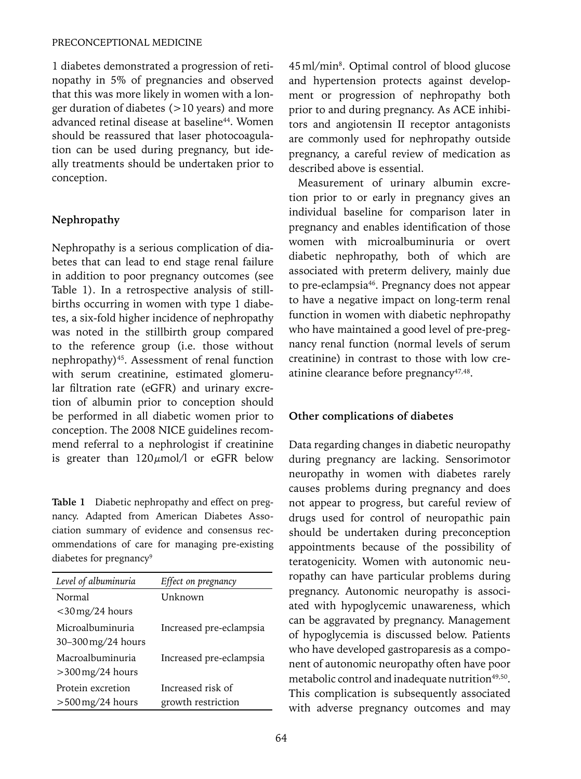1 diabetes demonstrated a progression of retinopathy in 5% of pregnancies and observed that this was more likely in women with a longer duration of diabetes (>10 years) and more advanced retinal disease at baseline<sup>44</sup>. Women should be reassured that laser photocoagulation can be used during pregnancy, but ideally treatments should be undertaken prior to conception.

# **Nephropathy**

Nephropathy is a serious complication of diabetes that can lead to end stage renal failure in addition to poor pregnancy outcomes (see Table 1). In a retrospective analysis of stillbirths occurring in women with type 1 diabetes, a six-fold higher incidence of nephropathy was noted in the stillbirth group compared to the reference group (i.e. those without nephropathy)45. Assessment of renal function with serum creatinine, estimated glomerular filtration rate (eGFR) and urinary excretion of albumin prior to conception should be performed in all diabetic women prior to conception. The 2008 NICE guidelines recommend referral to a nephrologist if creatinine is greater than  $120 \mu \text{mol}/l$  or eGFR below

**Table 1** Diabetic nephropathy and effect on pregnancy. Adapted from American Diabetes Association summary of evidence and consensus recommendations of care for managing pre-existing diabetes for pregnancy<sup>9</sup>

| Level of albuminuria                     | Effect on pregnancy                     |
|------------------------------------------|-----------------------------------------|
| Normal<br>$<$ 30 mg/24 hours             | Unknown                                 |
| Microalbuminuria<br>$30-300$ mg/24 hours | Increased pre-eclampsia                 |
| Macroalbuminuria<br>$>$ 300 mg/24 hours  | Increased pre-eclampsia                 |
| Protein excretion<br>$>500$ mg/24 hours  | Increased risk of<br>growth restriction |

45ml/min8 . Optimal control of blood glucose and hypertension protects against development or progression of nephropathy both prior to and during pregnancy. As ACE inhibitors and angiotensin II receptor antagonists are commonly used for nephropathy outside pregnancy, a careful review of medication as described above is essential.

Measurement of urinary albumin excretion prior to or early in pregnancy gives an individual baseline for comparison later in pregnancy and enables identification of those women with microalbuminuria or overt diabetic nephropathy, both of which are associated with preterm delivery, mainly due to pre-eclampsia46. Pregnancy does not appear to have a negative impact on long-term renal function in women with diabetic nephropathy who have maintained a good level of pre-pregnancy renal function (normal levels of serum creatinine) in contrast to those with low creatinine clearance before pregnancy<sup>47,48</sup>.

# **Other complications of diabetes**

Data regarding changes in diabetic neuropathy during pregnancy are lacking. Sensorimotor neuropathy in women with diabetes rarely causes problems during pregnancy and does not appear to progress, but careful review of drugs used for control of neuropathic pain should be undertaken during preconception appointments because of the possibility of teratogenicity. Women with autonomic neuropathy can have particular problems during pregnancy. Autonomic neuropathy is associated with hypoglycemic unawareness, which can be aggravated by pregnancy. Management of hypoglycemia is discussed below. Patients who have developed gastroparesis as a component of autonomic neuropathy often have poor metabolic control and inadequate nutrition<sup>49,50</sup>. This complication is subsequently associated with adverse pregnancy outcomes and may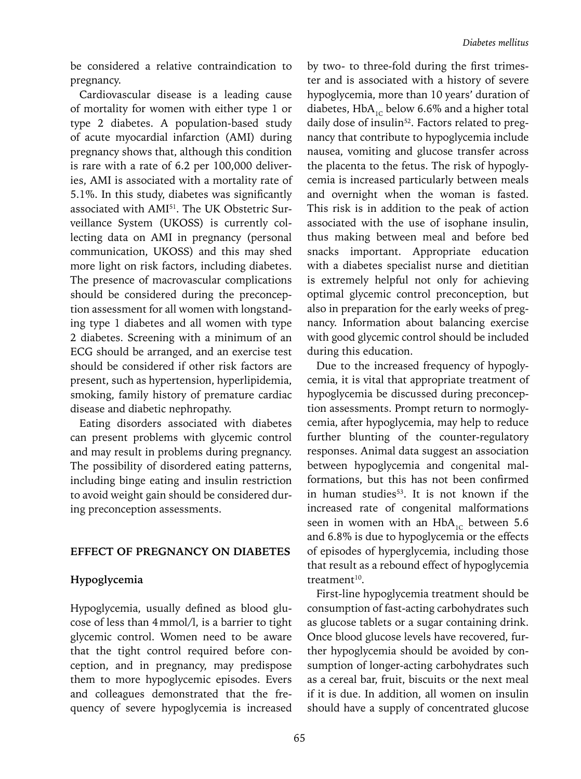be considered a relative contraindication to pregnancy.

Cardiovascular disease is a leading cause of mortality for women with either type 1 or type 2 diabetes. A population-based study of acute myocardial infarction (AMI) during pregnancy shows that, although this condition is rare with a rate of 6.2 per 100,000 deliveries, AMI is associated with a mortality rate of 5.1%. In this study, diabetes was significantly associated with AMI51. The UK Obstetric Surveillance System (UKOSS) is currently collecting data on AMI in pregnancy (personal communication, UKOSS) and this may shed more light on risk factors, including diabetes. The presence of macrovascular complications should be considered during the preconception assessment for all women with longstanding type 1 diabetes and all women with type 2 diabetes. Screening with a minimum of an ECG should be arranged, and an exercise test should be considered if other risk factors are present, such as hypertension, hyperlipidemia, smoking, family history of premature cardiac disease and diabetic nephropathy.

Eating disorders associated with diabetes can present problems with glycemic control and may result in problems during pregnancy. The possibility of disordered eating patterns, including binge eating and insulin restriction to avoid weight gain should be considered during preconception assessments.

#### **EFFECT OF PREGNANCY ON DIABETES**

#### **Hypoglycemia**

Hypoglycemia, usually defined as blood glucose of less than 4mmol/l, is a barrier to tight glycemic control. Women need to be aware that the tight control required before conception, and in pregnancy, may predispose them to more hypoglycemic episodes. Evers and colleagues demonstrated that the frequency of severe hypoglycemia is increased

by two- to three-fold during the first trimester and is associated with a history of severe hypoglycemia, more than 10 years' duration of diabetes,  $HbA_{1c}$  below 6.6% and a higher total daily dose of insulin<sup>52</sup>. Factors related to pregnancy that contribute to hypoglycemia include nausea, vomiting and glucose transfer across the placenta to the fetus. The risk of hypoglycemia is increased particularly between meals and overnight when the woman is fasted. This risk is in addition to the peak of action associated with the use of isophane insulin, thus making between meal and before bed snacks important. Appropriate education with a diabetes specialist nurse and dietitian is extremely helpful not only for achieving optimal glycemic control preconception, but also in preparation for the early weeks of pregnancy. Information about balancing exercise with good glycemic control should be included during this education.

Due to the increased frequency of hypoglycemia, it is vital that appropriate treatment of hypoglycemia be discussed during preconception assessments. Prompt return to normoglycemia, after hypoglycemia, may help to reduce further blunting of the counter-regulatory responses. Animal data suggest an association between hypoglycemia and congenital malformations, but this has not been confirmed in human studies<sup>53</sup>. It is not known if the increased rate of congenital malformations seen in women with an  $HbA_{1C}$  between 5.6 and 6.8% is due to hypoglycemia or the effects of episodes of hyperglycemia, including those that result as a rebound effect of hypoglycemia treatment $10$ .

First-line hypoglycemia treatment should be consumption of fast-acting carbohydrates such as glucose tablets or a sugar containing drink. Once blood glucose levels have recovered, further hypoglycemia should be avoided by consumption of longer-acting carbohydrates such as a cereal bar, fruit, biscuits or the next meal if it is due. In addition, all women on insulin should have a supply of concentrated glucose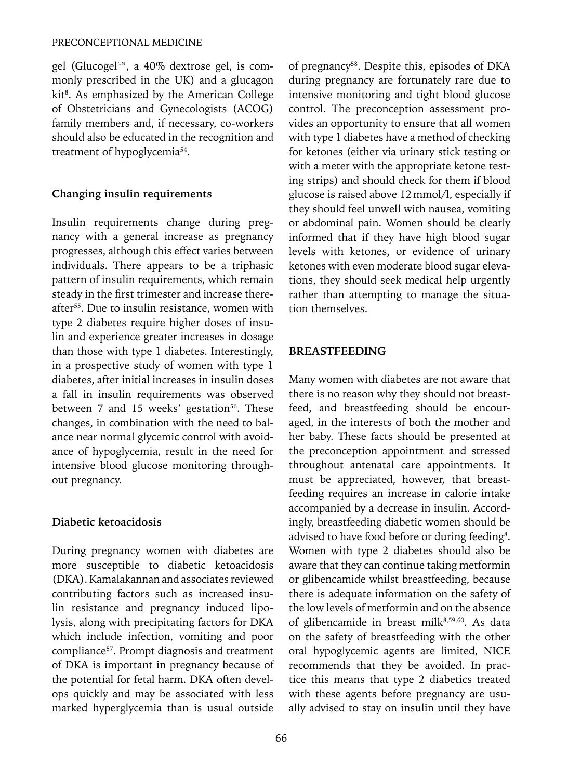#### PRECONCEPTIONAL MEDICINE

gel (Glucogel™, a 40% dextrose gel, is commonly prescribed in the UK) and a glucagon kit<sup>8</sup>. As emphasized by the American College of Obstetricians and Gynecologists (ACOG) family members and, if necessary, co-workers should also be educated in the recognition and treatment of hypoglycemia<sup>54</sup>.

#### **Changing insulin requirements**

Insulin requirements change during pregnancy with a general increase as pregnancy progresses, although this effect varies between individuals. There appears to be a triphasic pattern of insulin requirements, which remain steady in the first trimester and increase thereafter<sup>55</sup>. Due to insulin resistance, women with type 2 diabetes require higher doses of insulin and experience greater increases in dosage than those with type 1 diabetes. Interestingly, in a prospective study of women with type 1 diabetes, after initial increases in insulin doses a fall in insulin requirements was observed between 7 and 15 weeks' gestation<sup>56</sup>. These changes, in combination with the need to balance near normal glycemic control with avoidance of hypoglycemia, result in the need for intensive blood glucose monitoring throughout pregnancy.

# **Diabetic ketoacidosis**

During pregnancy women with diabetes are more susceptible to diabetic ketoacidosis (DKA). Kamalakannan and associates reviewed contributing factors such as increased insulin resistance and pregnancy induced lipolysis, along with precipitating factors for DKA which include infection, vomiting and poor compliance<sup>57</sup>. Prompt diagnosis and treatment of DKA is important in pregnancy because of the potential for fetal harm. DKA often develops quickly and may be associated with less marked hyperglycemia than is usual outside of pregnancy<sup>58</sup>. Despite this, episodes of DKA during pregnancy are fortunately rare due to intensive monitoring and tight blood glucose control. The preconception assessment provides an opportunity to ensure that all women with type 1 diabetes have a method of checking for ketones (either via urinary stick testing or with a meter with the appropriate ketone testing strips) and should check for them if blood glucose is raised above 12mmol/l, especially if they should feel unwell with nausea, vomiting or abdominal pain. Women should be clearly informed that if they have high blood sugar levels with ketones, or evidence of urinary ketones with even moderate blood sugar elevations, they should seek medical help urgently rather than attempting to manage the situation themselves.

# **BREASTFEEDING**

Many women with diabetes are not aware that there is no reason why they should not breastfeed, and breastfeeding should be encouraged, in the interests of both the mother and her baby. These facts should be presented at the preconception appointment and stressed throughout antenatal care appointments. It must be appreciated, however, that breastfeeding requires an increase in calorie intake accompanied by a decrease in insulin. Accordingly, breastfeeding diabetic women should be advised to have food before or during feeding<sup>8</sup>. Women with type 2 diabetes should also be aware that they can continue taking metformin or glibencamide whilst breastfeeding, because there is adequate information on the safety of the low levels of metformin and on the absence of glibencamide in breast milk<sup>8,59,60</sup>. As data on the safety of breastfeeding with the other oral hypoglycemic agents are limited, NICE recommends that they be avoided. In practice this means that type 2 diabetics treated with these agents before pregnancy are usually advised to stay on insulin until they have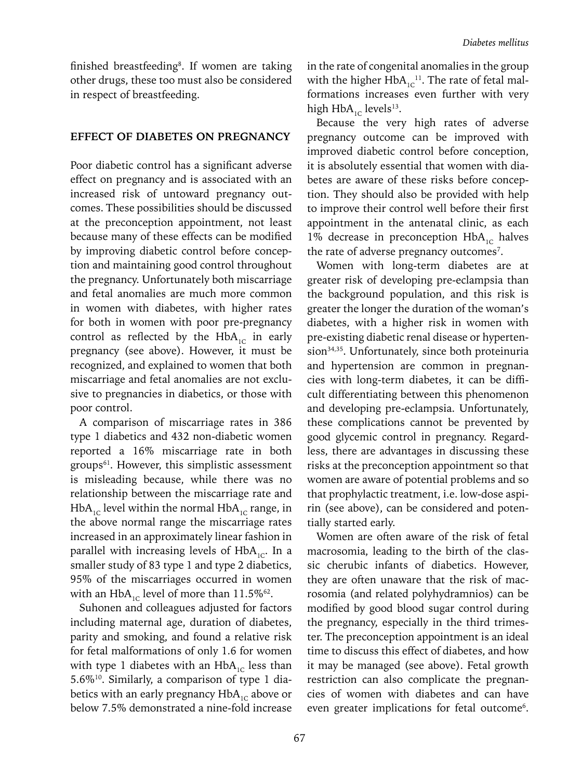finished breastfeeding<sup>8</sup>. If women are taking other drugs, these too must also be considered in respect of breastfeeding.

#### **EFFECT OF DIABETES ON PREGNANCY**

Poor diabetic control has a significant adverse effect on pregnancy and is associated with an increased risk of untoward pregnancy outcomes. These possibilities should be discussed at the preconception appointment, not least because many of these effects can be modified by improving diabetic control before conception and maintaining good control throughout the pregnancy. Unfortunately both miscarriage and fetal anomalies are much more common in women with diabetes, with higher rates for both in women with poor pre-pregnancy control as reflected by the  $HbA_{1C}$  in early pregnancy (see above). However, it must be recognized, and explained to women that both miscarriage and fetal anomalies are not exclusive to pregnancies in diabetics, or those with poor control.

A comparison of miscarriage rates in 386 type 1 diabetics and 432 non-diabetic women reported a 16% miscarriage rate in both groups<sup>61</sup>. However, this simplistic assessment is misleading because, while there was no relationship between the miscarriage rate and  $HbA_{1c}$  level within the normal  $HbA_{1c}$  range, in the above normal range the miscarriage rates increased in an approximately linear fashion in parallel with increasing levels of  $HbA_{1C}$ . In a smaller study of 83 type 1 and type 2 diabetics, 95% of the miscarriages occurred in women with an HbA<sub>1C</sub> level of more than  $11.5\%$ <sup>62</sup>.

Suhonen and colleagues adjusted for factors including maternal age, duration of diabetes, parity and smoking, and found a relative risk for fetal malformations of only 1.6 for women with type 1 diabetes with an  $HbA_{1c}$  less than 5.6%10. Similarly, a comparison of type 1 diabetics with an early pregnancy  $HbA_{1c}$  above or below 7.5% demonstrated a nine-fold increase

in the rate of congenital anomalies in the group with the higher  $HbA_{1C}^{-1}$ . The rate of fetal malformations increases even further with very high  $HbA_{1C}$  levels<sup>13</sup>.

Because the very high rates of adverse pregnancy outcome can be improved with improved diabetic control before conception, it is absolutely essential that women with diabetes are aware of these risks before conception. They should also be provided with help to improve their control well before their first appointment in the antenatal clinic, as each 1% decrease in preconception  $HbA_{1C}$  halves the rate of adverse pregnancy outcomes<sup>7</sup>.

Women with long-term diabetes are at greater risk of developing pre-eclampsia than the background population, and this risk is greater the longer the duration of the woman's diabetes, with a higher risk in women with pre-existing diabetic renal disease or hypertension<sup>34,35</sup>. Unfortunately, since both proteinuria and hypertension are common in pregnancies with long-term diabetes, it can be difficult differentiating between this phenomenon and developing pre-eclampsia. Unfortunately, these complications cannot be prevented by good glycemic control in pregnancy. Regardless, there are advantages in discussing these risks at the preconception appointment so that women are aware of potential problems and so that prophylactic treatment, i.e. low-dose aspirin (see above), can be considered and potentially started early.

Women are often aware of the risk of fetal macrosomia, leading to the birth of the classic cherubic infants of diabetics. However, they are often unaware that the risk of macrosomia (and related polyhydramnios) can be modified by good blood sugar control during the pregnancy, especially in the third trimester. The preconception appointment is an ideal time to discuss this effect of diabetes, and how it may be managed (see above). Fetal growth restriction can also complicate the pregnancies of women with diabetes and can have even greater implications for fetal outcome<sup>6</sup>.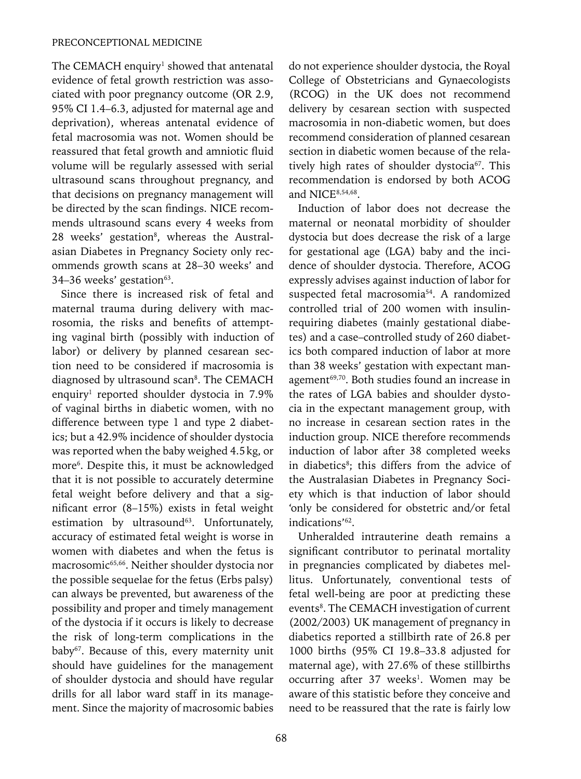The CEMACH enquiry<sup>1</sup> showed that antenatal evidence of fetal growth restriction was associated with poor pregnancy outcome (OR 2.9, 95% CI 1.4–6.3, adjusted for maternal age and deprivation), whereas antenatal evidence of fetal macrosomia was not. Women should be reassured that fetal growth and amniotic fluid volume will be regularly assessed with serial ultrasound scans throughout pregnancy, and that decisions on pregnancy management will be directed by the scan findings. NICE recommends ultrasound scans every 4 weeks from 28 weeks' gestation<sup>8</sup>, whereas the Australasian Diabetes in Pregnancy Society only recommends growth scans at 28–30 weeks' and 34–36 weeks' gestation<sup>63</sup>.

Since there is increased risk of fetal and maternal trauma during delivery with macrosomia, the risks and benefits of attempting vaginal birth (possibly with induction of labor) or delivery by planned cesarean section need to be considered if macrosomia is diagnosed by ultrasound scan<sup>8</sup>. The CEMACH enquiry1 reported shoulder dystocia in 7.9% of vaginal births in diabetic women, with no difference between type 1 and type 2 diabetics; but a 42.9% incidence of shoulder dystocia was reported when the baby weighed 4.5kg, or more<sup>6</sup>. Despite this, it must be acknowledged that it is not possible to accurately determine fetal weight before delivery and that a significant error (8–15%) exists in fetal weight estimation by ultrasound<sup>63</sup>. Unfortunately, accuracy of estimated fetal weight is worse in women with diabetes and when the fetus is macrosomic65,66. Neither shoulder dystocia nor the possible sequelae for the fetus (Erbs palsy) can always be prevented, but awareness of the possibility and proper and timely management of the dystocia if it occurs is likely to decrease the risk of long-term complications in the baby<sup>67</sup>. Because of this, every maternity unit should have guidelines for the management of shoulder dystocia and should have regular drills for all labor ward staff in its management. Since the majority of macrosomic babies

do not experience shoulder dystocia, the Royal College of Obstetricians and Gynaecologists (RCOG) in the UK does not recommend delivery by cesarean section with suspected macrosomia in non-diabetic women, but does recommend consideration of planned cesarean section in diabetic women because of the relatively high rates of shoulder dystocia<sup>67</sup>. This recommendation is endorsed by both ACOG and NICE<sup>8,54,68</sup>.

Induction of labor does not decrease the maternal or neonatal morbidity of shoulder dystocia but does decrease the risk of a large for gestational age (LGA) baby and the incidence of shoulder dystocia. Therefore, ACOG expressly advises against induction of labor for suspected fetal macrosomia<sup>54</sup>. A randomized controlled trial of 200 women with insulinrequiring diabetes (mainly gestational diabetes) and a case–controlled study of 260 diabetics both compared induction of labor at more than 38 weeks' gestation with expectant management<sup>69,70</sup>. Both studies found an increase in the rates of LGA babies and shoulder dystocia in the expectant management group, with no increase in cesarean section rates in the induction group. NICE therefore recommends induction of labor after 38 completed weeks in diabetics<sup>8</sup>; this differs from the advice of the Australasian Diabetes in Pregnancy Society which is that induction of labor should 'only be considered for obstetric and/or fetal indications'62.

Unheralded intrauterine death remains a significant contributor to perinatal mortality in pregnancies complicated by diabetes mellitus. Unfortunately, conventional tests of fetal well-being are poor at predicting these events<sup>8</sup>. The CEMACH investigation of current (2002/2003) UK management of pregnancy in diabetics reported a stillbirth rate of 26.8 per 1000 births (95% CI 19.8–33.8 adjusted for maternal age), with 27.6% of these stillbirths occurring after 37 weeks<sup>1</sup>. Women may be aware of this statistic before they conceive and need to be reassured that the rate is fairly low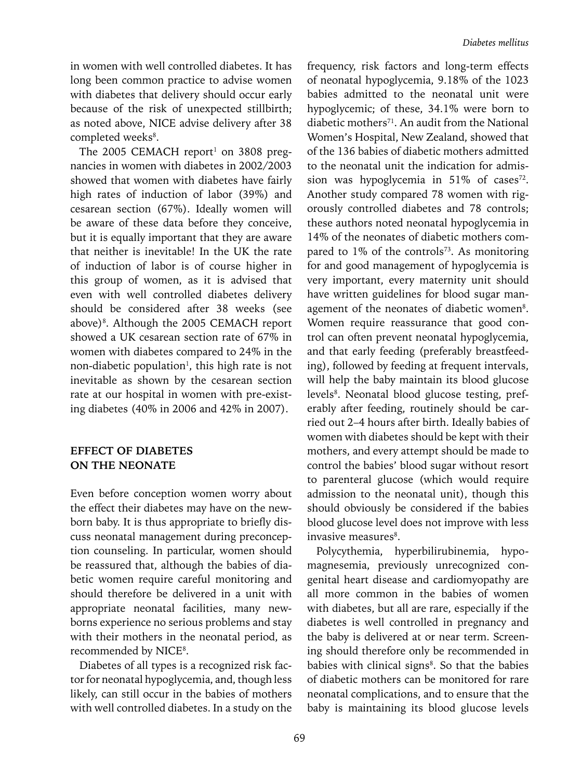in women with well controlled diabetes. It has long been common practice to advise women with diabetes that delivery should occur early because of the risk of unexpected stillbirth; as noted above, NICE advise delivery after 38 completed weeks<sup>8</sup>.

The 2005 CEMACH report<sup>1</sup> on 3808 pregnancies in women with diabetes in 2002/2003 showed that women with diabetes have fairly high rates of induction of labor (39%) and cesarean section (67%). Ideally women will be aware of these data before they conceive, but it is equally important that they are aware that neither is inevitable! In the UK the rate of induction of labor is of course higher in this group of women, as it is advised that even with well controlled diabetes delivery should be considered after 38 weeks (see above)<sup>8</sup>. Although the 2005 CEMACH report showed a UK cesarean section rate of 67% in women with diabetes compared to 24% in the non-diabetic population<sup>1</sup>, this high rate is not inevitable as shown by the cesarean section rate at our hospital in women with pre-existing diabetes (40% in 2006 and 42% in 2007).

## **EFFECT OF DIABETES ON THE NEONATE**

Even before conception women worry about the effect their diabetes may have on the newborn baby. It is thus appropriate to briefly discuss neonatal management during preconception counseling. In particular, women should be reassured that, although the babies of diabetic women require careful monitoring and should therefore be delivered in a unit with appropriate neonatal facilities, many newborns experience no serious problems and stay with their mothers in the neonatal period, as recommended by NICE<sup>8</sup>.

Diabetes of all types is a recognized risk factor for neonatal hypoglycemia, and, though less likely, can still occur in the babies of mothers with well controlled diabetes. In a study on the

frequency, risk factors and long-term effects of neonatal hypoglycemia, 9.18% of the 1023 babies admitted to the neonatal unit were hypoglycemic; of these, 34.1% were born to diabetic mothers<sup>71</sup>. An audit from the National Women's Hospital, New Zealand, showed that of the 136 babies of diabetic mothers admitted to the neonatal unit the indication for admission was hypoglycemia in  $51\%$  of cases<sup>72</sup>. Another study compared 78 women with rigorously controlled diabetes and 78 controls; these authors noted neonatal hypoglycemia in 14% of the neonates of diabetic mothers compared to 1% of the controls<sup>73</sup>. As monitoring for and good management of hypoglycemia is very important, every maternity unit should have written guidelines for blood sugar management of the neonates of diabetic women<sup>8</sup>. Women require reassurance that good control can often prevent neonatal hypoglycemia, and that early feeding (preferably breastfeeding), followed by feeding at frequent intervals, will help the baby maintain its blood glucose levels<sup>8</sup>. Neonatal blood glucose testing, preferably after feeding, routinely should be carried out 2–4 hours after birth. Ideally babies of women with diabetes should be kept with their mothers, and every attempt should be made to control the babies' blood sugar without resort to parenteral glucose (which would require admission to the neonatal unit), though this should obviously be considered if the babies blood glucose level does not improve with less invasive measures<sup>8</sup>.

Polycythemia, hyperbilirubinemia, hypomagnesemia, previously unrecognized congenital heart disease and cardiomyopathy are all more common in the babies of women with diabetes, but all are rare, especially if the diabetes is well controlled in pregnancy and the baby is delivered at or near term. Screening should therefore only be recommended in babies with clinical signs<sup>8</sup>. So that the babies of diabetic mothers can be monitored for rare neonatal complications, and to ensure that the baby is maintaining its blood glucose levels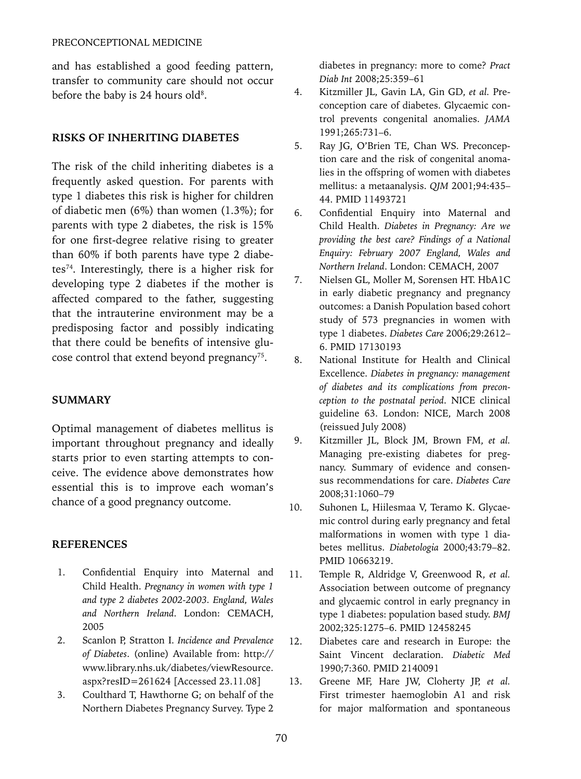and has established a good feeding pattern, transfer to community care should not occur before the baby is 24 hours old<sup>8</sup>.

#### **RISKS OF INHERITING DIABETES**

The risk of the child inheriting diabetes is a frequently asked question. For parents with type 1 diabetes this risk is higher for children of diabetic men (6%) than women (1.3%); for parents with type 2 diabetes, the risk is 15% for one first-degree relative rising to greater than 60% if both parents have type 2 diabetes74. Interestingly, there is a higher risk for developing type 2 diabetes if the mother is affected compared to the father, suggesting that the intrauterine environment may be a predisposing factor and possibly indicating that there could be benefits of intensive glucose control that extend beyond pregnancy<sup>75</sup>.

#### **SUMMARY**

Optimal management of diabetes mellitus is important throughout pregnancy and ideally starts prior to even starting attempts to conceive. The evidence above demonstrates how essential this is to improve each woman's chance of a good pregnancy outcome.

#### **References**

- 1. Confidential Enquiry into Maternal and Child Health. *Pregnancy in women with type 1 and type 2 diabetes 2002-2003. England, Wales and Northern Ireland*. London: CEMACH, 2005
- 2. Scanlon P, Stratton I. *Incidence and Prevalence of Diabetes*. (online) Available from: http:// www.library.nhs.uk/diabetes/viewResource. aspx?resID=261624 [Accessed 23.11.08]
- 3. Coulthard T, Hawthorne G; on behalf of the Northern Diabetes Pregnancy Survey. Type 2

diabetes in pregnancy: more to come? *Pract Diab Int* 2008;25:359–61

- 4. Kitzmiller JL, Gavin LA, Gin GD, *et al.* Preconception care of diabetes. Glycaemic control prevents congenital anomalies. *JAMA* 1991;265:731–6.
- 5. Ray JG, O'Brien TE, Chan WS. Preconception care and the risk of congenital anomalies in the offspring of women with diabetes mellitus: a metaanalysis. *QJM* 2001;94:435– 44. PMID 11493721
- 6. Confidential Enquiry into Maternal and Child Health. *Diabetes in Pregnancy: Are we providing the best care? Findings of a National Enquiry: February 2007 England, Wales and Northern Ireland*. London: CEMACH, 2007
- 7. Nielsen GL, Moller M, Sorensen HT. HbA1C in early diabetic pregnancy and pregnancy outcomes: a Danish Population based cohort study of 573 pregnancies in women with type 1 diabetes. *Diabetes Care* 2006;29:2612– 6. PMID 17130193
- 8. National Institute for Health and Clinical Excellence. *Diabetes in pregnancy: management of diabetes and its complications from preconception to the postnatal period*. NICE clinical guideline 63. London: NICE, March 2008 (reissued July 2008)
- 9. Kitzmiller JL, Block JM, Brown FM, *et al.*  Managing pre-existing diabetes for pregnancy. Summary of evidence and consensus recommendations for care. *Diabetes Care*  2008;31:1060–79
- 10. Suhonen L, Hiilesmaa V, Teramo K. Glycaemic control during early pregnancy and fetal malformations in women with type 1 diabetes mellitus. *Diabetologia* 2000;43:79–82. PMID 10663219.
- 11. Temple R, Aldridge V, Greenwood R, *et al.*  Association between outcome of pregnancy and glycaemic control in early pregnancy in type 1 diabetes: population based study. *BMJ* 2002;325:1275–6. PMID 12458245
- 12. Diabetes care and research in Europe: the Saint Vincent declaration. *Diabetic Med* 1990;7:360. PMID 2140091
- 13. Greene MF, Hare JW, Cloherty JP, *et al.*  First trimester haemoglobin A1 and risk for major malformation and spontaneous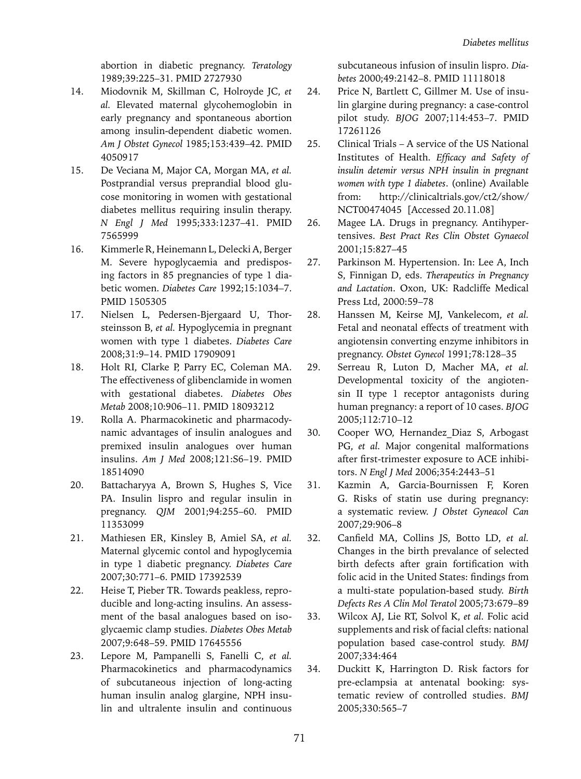abortion in diabetic pregnancy. *Teratology* 1989;39:225–31. PMID 2727930

- 14. Miodovnik M, Skillman C, Holroyde JC, *et al.* Elevated maternal glycohemoglobin in early pregnancy and spontaneous abortion among insulin-dependent diabetic women. *Am J Obstet Gynecol* 1985;153:439–42. PMID 4050917
- 15. De Veciana M, Major CA, Morgan MA, *et al.* Postprandial versus preprandial blood glucose monitoring in women with gestational diabetes mellitus requiring insulin therapy. *N Engl J Med* 1995;333:1237–41. PMID 7565999
- 16. Kimmerle R, Heinemann L, Delecki A, Berger M. Severe hypoglycaemia and predisposing factors in 85 pregnancies of type 1 diabetic women. *Diabetes Care* 1992;15:1034–7. PMID 1505305
- 17. Nielsen L, Pedersen-Bjergaard U, Thorsteinsson B, *et al.* Hypoglycemia in pregnant women with type 1 diabetes. *Diabetes Care*  2008;31:9–14. PMID 17909091
- 18. Holt RI, Clarke P, Parry EC, Coleman MA. The effectiveness of glibenclamide in women with gestational diabetes. *Diabetes Obes Metab* 2008;10:906–11. PMID 18093212
- 19. Rolla A. Pharmacokinetic and pharmacodynamic advantages of insulin analogues and premixed insulin analogues over human insulins. *Am J Med* 2008;121:S6–19. PMID 18514090
- 20. Battacharyya A, Brown S, Hughes S, Vice PA. Insulin lispro and regular insulin in pregnancy. *QJM* 2001;94:255–60. PMID 11353099
- 21. Mathiesen ER, Kinsley B, Amiel SA, *et al.*  Maternal glycemic contol and hypoglycemia in type 1 diabetic pregnancy. *Diabetes Care* 2007;30:771–6. PMID 17392539
- 22. Heise T, Pieber TR. Towards peakless, reproducible and long-acting insulins. An assessment of the basal analogues based on isoglycaemic clamp studies. *Diabetes Obes Metab*  2007;9:648–59. PMID 17645556
- 23. Lepore M, Pampanelli S, Fanelli C, *et al.*  Pharmacokinetics and pharmacodynamics of subcutaneous injection of long-acting human insulin analog glargine, NPH insulin and ultralente insulin and continuous

subcutaneous infusion of insulin lispro. *Diabetes* 2000;49:2142–8. PMID 11118018

- 24. Price N, Bartlett C, Gillmer M. Use of insulin glargine during pregnancy: a case-control pilot study. *BJOG* 2007;114:453–7. PMID 17261126
- 25. Clinical Trials A service of the US National Institutes of Health. *Efficacy and Safety of insulin detemir versus NPH insulin in pregnant women with type 1 diabetes*. (online) Available from: http://clinicaltrials.gov/ct2/show/ NCT00474045 [Accessed 20.11.08]
- 26. Magee LA. Drugs in pregnancy. Antihypertensives. *Best Pract Res Clin Obstet Gynaecol*  2001;15:827–45
- 27. Parkinson M. Hypertension. In: Lee A, Inch S, Finnigan D, eds. *Therapeutics in Pregnancy and Lactation*. Oxon, UK: Radcliffe Medical Press Ltd, 2000:59–78
- 28. Hanssen M, Keirse MJ, Vankelecom, *et al.*  Fetal and neonatal effects of treatment with angiotensin converting enzyme inhibitors in pregnancy. *Obstet Gynecol* 1991;78:128–35
- 29. Serreau R, Luton D, Macher MA, *et al.* Developmental toxicity of the angiotensin II type 1 receptor antagonists during human pregnancy: a report of 10 cases. *BJOG* 2005;112:710–12
- 30. Cooper WO, Hernandez\_Diaz S, Arbogast PG, *et al.* Major congenital malformations after first-trimester exposure to ACE inhibitors. *N Engl J Med* 2006;354:2443–51
- 31. Kazmin A, Garcia-Bournissen F, Koren G. Risks of statin use during pregnancy: a systematic review. *J Obstet Gyneacol Can* 2007;29:906–8
- 32. Canfield MA, Collins JS, Botto LD, *et al.*  Changes in the birth prevalance of selected birth defects after grain fortification with folic acid in the United States: findings from a multi-state population-based study. *Birth Defects Res A Clin Mol Teratol* 2005;73:679–89
- 33. Wilcox AJ, Lie RT, Solvol K, *et al.* Folic acid supplements and risk of facial clefts: national population based case-control study. *BMJ* 2007;334:464
- 34. Duckitt K, Harrington D. Risk factors for pre-eclampsia at antenatal booking: systematic review of controlled studies. *BMJ* 2005;330:565–7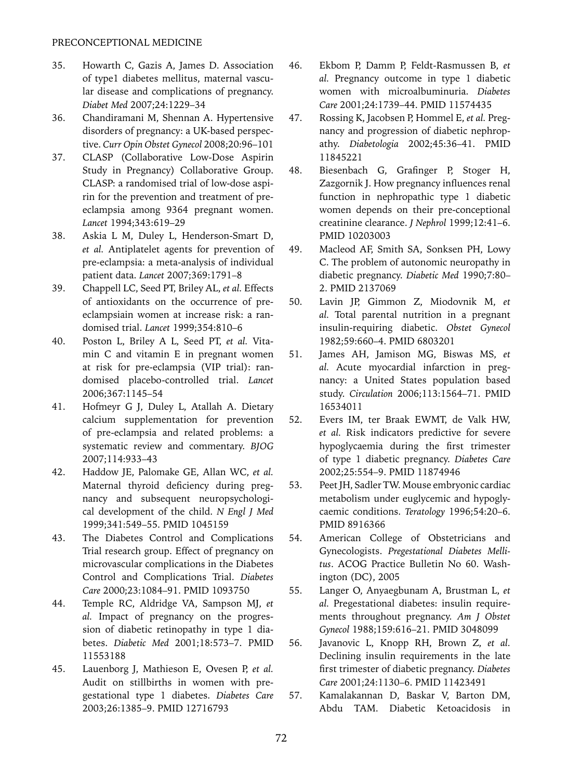- 35. Howarth C, Gazis A, James D. Association of type1 diabetes mellitus, maternal vascular disease and complications of pregnancy. *Diabet Med* 2007;24:1229–34
- 36. Chandiramani M, Shennan A. Hypertensive disorders of pregnancy: a UK-based perspective. *Curr Opin Obstet Gynecol* 2008;20:96–101
- 37. CLASP (Collaborative Low-Dose Aspirin Study in Pregnancy) Collaborative Group. CLASP: a randomised trial of low-dose aspirin for the prevention and treatment of preeclampsia among 9364 pregnant women. *Lancet* 1994;343:619–29
- 38. Askia L M, Duley L, Henderson-Smart D, *et al.* Antiplatelet agents for prevention of pre-eclampsia: a meta-analysis of individual patient data. *Lancet* 2007;369:1791–8
- 39. Chappell LC, Seed PT, Briley AL, *et al.* Effects of antioxidants on the occurrence of preeclampsiain women at increase risk: a randomised trial. *Lancet* 1999;354:810–6
- 40. Poston L, Briley A L, Seed PT, *et al.* Vitamin C and vitamin E in pregnant women at risk for pre-eclampsia (VIP trial): randomised placebo-controlled trial. *Lancet* 2006;367:1145–54
- 41. Hofmeyr G J, Duley L, Atallah A. Dietary calcium supplementation for prevention of pre-eclampsia and related problems: a systematic review and commentary. *BJOG* 2007;114:933–43
- 42. Haddow JE, Palomake GE, Allan WC, *et al.*  Maternal thyroid deficiency during pregnancy and subsequent neuropsychological development of the child. *N Engl J Med*  1999;341:549–55. PMID 1045159
- 43. The Diabetes Control and Complications Trial research group. Effect of pregnancy on microvascular complications in the Diabetes Control and Complications Trial. *Diabetes Care* 2000;23:1084–91. PMID 1093750
- 44. Temple RC, Aldridge VA, Sampson MJ, *et al.* Impact of pregnancy on the progression of diabetic retinopathy in type 1 diabetes. *Diabetic Med* 2001;18:573–7. PMID 11553188
- 45. Lauenborg J, Mathieson E, Ovesen P, *et al.*  Audit on stillbirths in women with pregestational type 1 diabetes. *Diabetes Care*  2003;26:1385–9. PMID 12716793
- 46. Ekbom P, Damm P, Feldt-Rasmussen B, *et al.* Pregnancy outcome in type 1 diabetic women with microalbuminuria. *Diabetes Care* 2001;24:1739–44. PMID 11574435
- 47. Rossing K, Jacobsen P, Hommel E, *et al.* Pregnancy and progression of diabetic nephropathy. *Diabetologia* 2002;45:36–41. PMID 11845221
- 48. Biesenbach G, Grafinger P, Stoger H, Zazgornik J. How pregnancy influences renal function in nephropathic type 1 diabetic women depends on their pre-conceptional creatinine clearance. *J Nephrol* 1999;12:41–6. PMID 10203003
- 49. Macleod AF, Smith SA, Sonksen PH, Lowy C. The problem of autonomic neuropathy in diabetic pregnancy. *Diabetic Med* 1990;7:80– 2. PMID 2137069
- 50. Lavin JP, Gimmon Z, Miodovnik M, *et al.* Total parental nutrition in a pregnant insulin-requiring diabetic. *Obstet Gynecol* 1982;59:660–4. PMID 6803201
- 51. James AH, Jamison MG, Biswas MS, *et al.* Acute myocardial infarction in pregnancy: a United States population based study. *Circulation* 2006;113:1564–71. PMID 16534011
- 52. Evers IM, ter Braak EWMT, de Valk HW, *et al.* Risk indicators predictive for severe hypoglycaemia during the first trimester of type 1 diabetic pregnancy. *Diabetes Care*  2002;25:554–9. PMID 11874946
- 53. Peet JH, Sadler TW. Mouse embryonic cardiac metabolism under euglycemic and hypoglycaemic conditions. *Teratology* 1996;54:20–6. PMID 8916366
- 54. American College of Obstetricians and Gynecologists. *Pregestational Diabetes Mellitus*. ACOG Practice Bulletin No 60. Washington (DC), 2005
- 55. Langer O, Anyaegbunam A, Brustman L, *et al.* Pregestational diabetes: insulin requirements throughout pregnancy. *Am J Obstet Gynecol* 1988;159:616–21. PMID 3048099
- 56. Javanovic L, Knopp RH, Brown Z, *et al.*  Declining insulin requirements in the late first trimester of diabetic pregnancy. *Diabetes Care* 2001;24:1130–6. PMID 11423491
- 57. Kamalakannan D, Baskar V, Barton DM, Abdu TAM. Diabetic Ketoacidosis in